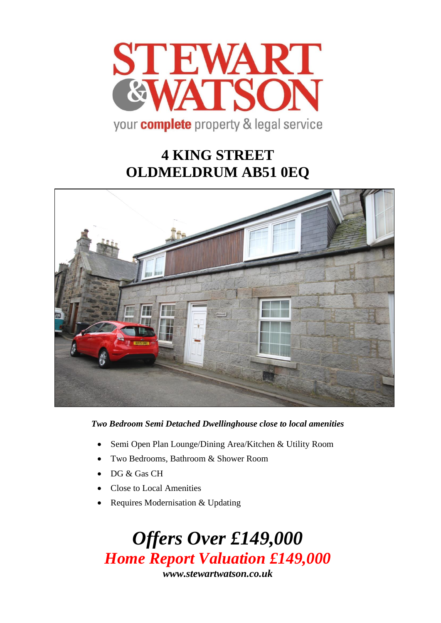

# **4 KING STREET OLDMELDRUM AB51 0EQ**



*Two Bedroom Semi Detached Dwellinghouse close to local amenities*

- Semi Open Plan Lounge/Dining Area/Kitchen & Utility Room
- Two Bedrooms, Bathroom & Shower Room
- DG & Gas CH
- Close to Local Amenities
- Requires Modernisation & Updating

*Offers Over £149,000 Home Report Valuation £149,000 www.stewartwatson.co.uk*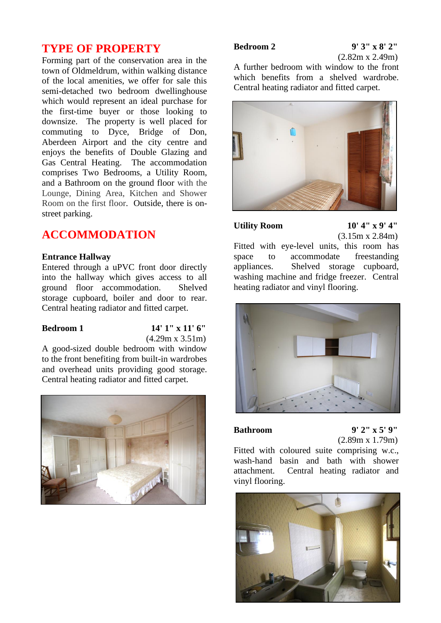# **TYPE OF PROPERTY**

Forming part of the conservation area in the town of Oldmeldrum, within walking distance of the local amenities, we offer for sale this semi-detached two bedroom dwellinghouse which would represent an ideal purchase for the first-time buyer or those looking to downsize. The property is well placed for commuting to Dyce, Bridge of Don, Aberdeen Airport and the city centre and enjoys the benefits of Double Glazing and Gas Central Heating. The accommodation comprises Two Bedrooms, a Utility Room, and a Bathroom on the ground floor with the Lounge, Dining Area, Kitchen and Shower Room on the first floor. Outside, there is onstreet parking.

# **ACCOMMODATION**

## **Entrance Hallway**

Entered through a uPVC front door directly into the hallway which gives access to all ground floor accommodation. Shelved storage cupboard, boiler and door to rear. Central heating radiator and fitted carpet.

### **Bedroom 1 14' 1" x 11' 6"** (4.29m x 3.51m)

A good-sized double bedroom with window to the front benefiting from built-in wardrobes and overhead units providing good storage. Central heating radiator and fitted carpet.



# **Bedroom 2 9' 3" x 8' 2"**

(2.82m x 2.49m)

A further bedroom with window to the front which benefits from a shelved wardrobe. Central heating radiator and fitted carpet.



# **Utility Room 10' 4" x 9' 4"**

(3.15m x 2.84m)

Fitted with eye-level units, this room has space to accommodate freestanding appliances. Shelved storage cupboard, washing machine and fridge freezer. Central heating radiator and vinyl flooring.



**Bathroom 9' 2" x 5' 9"** (2.89m x 1.79m)

Fitted with coloured suite comprising w.c., wash-hand basin and bath with shower attachment. Central heating radiator and vinyl flooring.

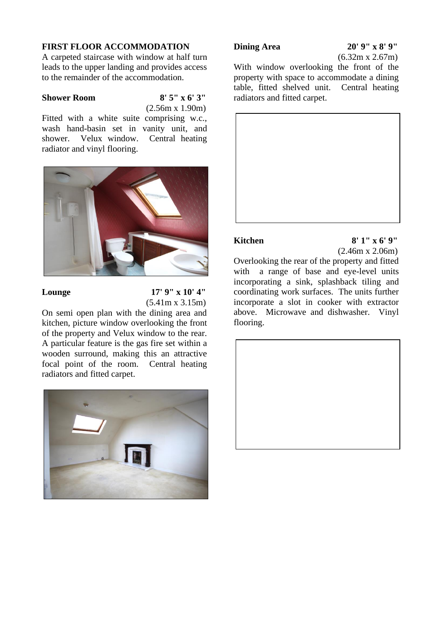## **FIRST FLOOR ACCOMMODATION**

A carpeted staircase with window at half turn leads to the upper landing and provides access to the remainder of the accommodation.

**Shower Room 8' 5" x 6' 3"** (2.56m x 1.90m)

Fitted with a white suite comprising w.c., wash hand-basin set in vanity unit, and shower. Velux window. Central heating radiator and vinyl flooring.



# Lounge 17' 9" x 10' 4" (5.41m x 3.15m)

On semi open plan with the dining area and kitchen, picture window overlooking the front of the property and Velux window to the rear. A particular feature is the gas fire set within a wooden surround, making this an attractive focal point of the room. Central heating radiators and fitted carpet.



# **Dining Area** 20' 9" x 8' 9"

(6.32m x 2.67m)

With window overlooking the front of the property with space to accommodate a dining table, fitted shelved unit. Central heating radiators and fitted carpet.



### **Kitchen 8' 1" x 6' 9"**

(2.46m x 2.06m)

Overlooking the rear of the property and fitted with a range of base and eye-level units incorporating a sink, splashback tiling and coordinating work surfaces. The units further incorporate a slot in cooker with extractor above. Microwave and dishwasher. Vinyl flooring.